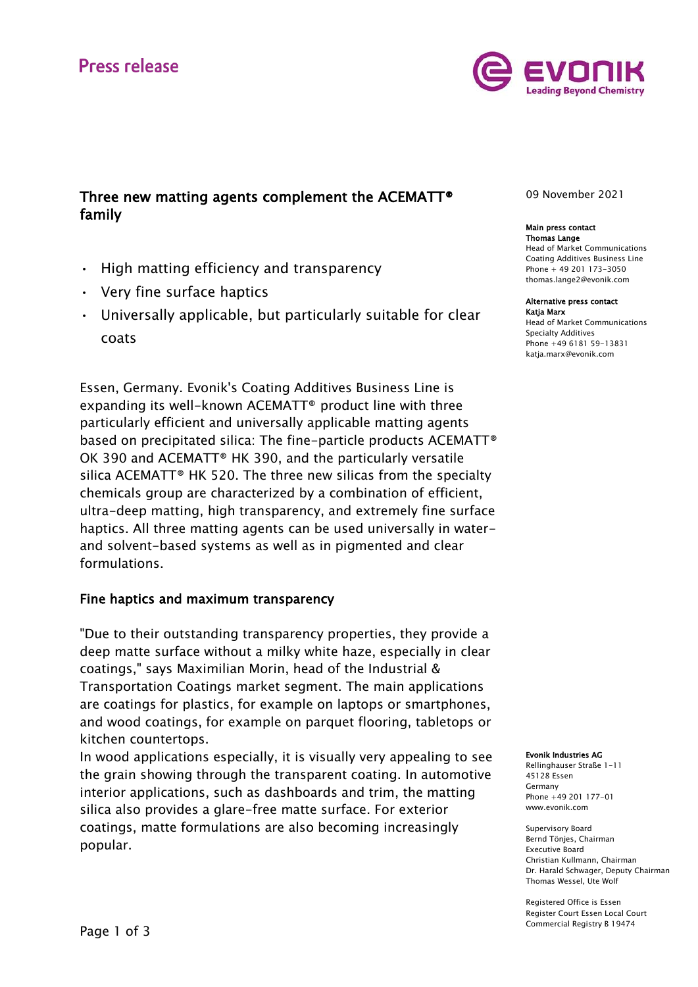# **Press release**



# Three new matting agents complement the ACEMATT® family

- High matting efficiency and transparency
- Very fine surface haptics
- Universally applicable, but particularly suitable for clear coats

Essen, Germany. Evonik's Coating Additives Business Line is expanding its well-known ACEMATT® product line with three particularly efficient and universally applicable matting agents based on precipitated silica: The fine-particle products ACEMATT® OK 390 and ACEMATT® HK 390, and the particularly versatile silica ACEMATT® HK 520. The three new silicas from the specialty chemicals group are characterized by a combination of efficient, ultra-deep matting, high transparency, and extremely fine surface haptics. All three matting agents can be used universally in waterand solvent-based systems as well as in pigmented and clear formulations.

## Fine haptics and maximum transparency

"Due to their outstanding transparency properties, they provide a deep matte surface without a milky white haze, especially in clear coatings," says Maximilian Morin, head of the Industrial & Transportation Coatings market segment. The main applications are coatings for plastics, for example on laptops or smartphones, and wood coatings, for example on parquet flooring, tabletops or kitchen countertops.

In wood applications especially, it is visually very appealing to see the grain showing through the transparent coating. In automotive interior applications, such as dashboards and trim, the matting silica also provides a glare-free matte surface. For exterior coatings, matte formulations are also becoming increasingly popular.

09 November 2021

#### Main press contact Thomas Lange

Head of Market Communications Coating Additives Business Line Phone + 49 201 173-3050 thomas.lange2@evonik.com

#### Alternative press contact Katja Marx

Head of Market Communications Specialty Additives Phone +49 6181 59-13831 katja.marx@evonik.com

### Evonik Industries AG

Rellinghauser Straße 1-11 45128 Essen Germany Phone +49 201 177-01 www.evonik.com

Supervisory Board Bernd Tönjes, Chairman Executive Board Christian Kullmann, Chairman Dr. Harald Schwager, Deputy Chairman Thomas Wessel, Ute Wolf

Registered Office is Essen Register Court Essen Local Court Commercial Registry B 19474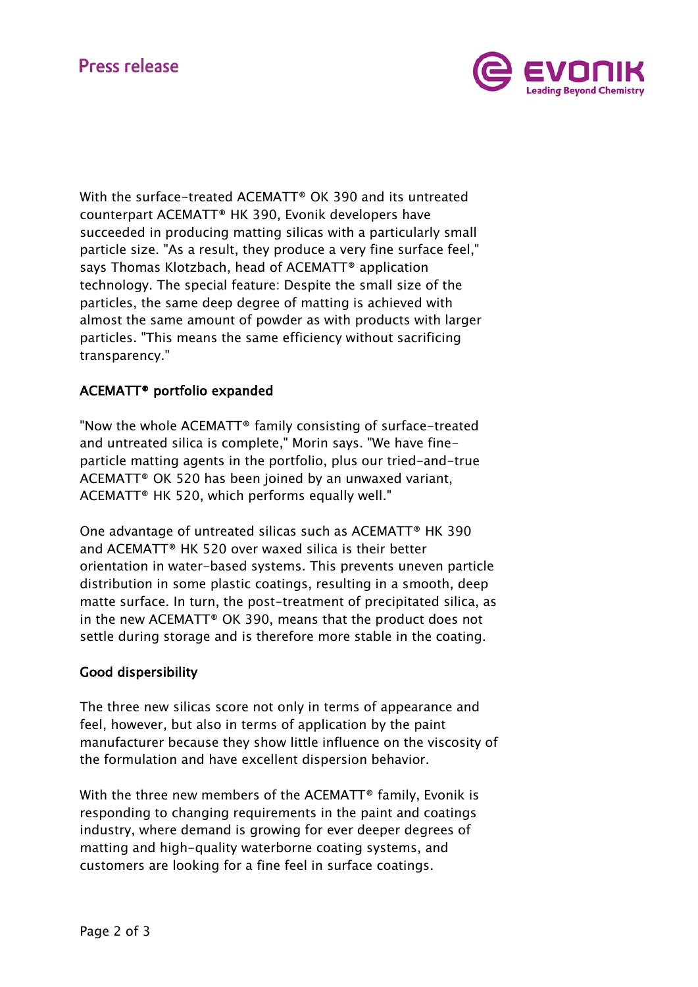# **Press release**



With the surface-treated ACEMATT® OK 390 and its untreated counterpart ACEMATT® HK 390, Evonik developers have succeeded in producing matting silicas with a particularly small particle size. "As a result, they produce a very fine surface feel," says Thomas Klotzbach, head of ACEMATT® application technology. The special feature: Despite the small size of the particles, the same deep degree of matting is achieved with almost the same amount of powder as with products with larger particles. "This means the same efficiency without sacrificing transparency."

# ACEMATT® portfolio expanded

"Now the whole ACEMATT® family consisting of surface-treated and untreated silica is complete," Morin says. "We have fineparticle matting agents in the portfolio, plus our tried-and-true ACEMATT® OK 520 has been joined by an unwaxed variant, ACEMATT® HK 520, which performs equally well."

One advantage of untreated silicas such as ACEMATT® HK 390 and ACEMATT® HK 520 over waxed silica is their better orientation in water-based systems. This prevents uneven particle distribution in some plastic coatings, resulting in a smooth, deep matte surface. In turn, the post-treatment of precipitated silica, as in the new ACEMATT® OK 390, means that the product does not settle during storage and is therefore more stable in the coating.

## Good dispersibility

The three new silicas score not only in terms of appearance and feel, however, but also in terms of application by the paint manufacturer because they show little influence on the viscosity of the formulation and have excellent dispersion behavior.

With the three new members of the ACEMATT<sup>®</sup> family, Evonik is responding to changing requirements in the paint and coatings industry, where demand is growing for ever deeper degrees of matting and high-quality waterborne coating systems, and customers are looking for a fine feel in surface coatings.